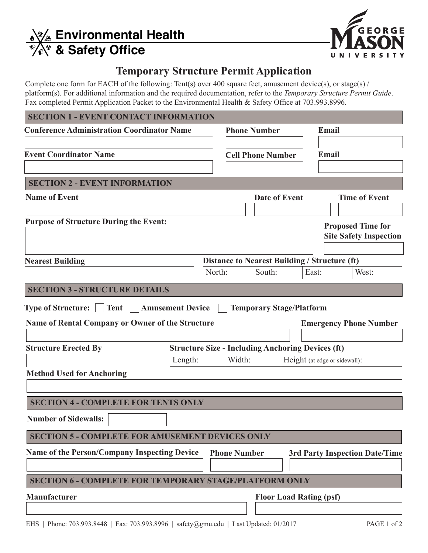**Environmental Health & Safety Office**



# **Temporary Structure Permit Application**

Complete one form for EACH of the following: Tent(s) over 400 square feet, amusement device(s), or stage(s) / platform(s). For additional information and the required documentation, refer to the *Temporary Structure Permit Guide*. Fax completed Permit Application Packet to the Environmental Health & Safety Office at 703.993.8996.

| <b>SECTION 1 - EVENT CONTACT INFORMATION</b>                                                 |                                                          |                     |                                 |                                                                        |                                                           |  |
|----------------------------------------------------------------------------------------------|----------------------------------------------------------|---------------------|---------------------------------|------------------------------------------------------------------------|-----------------------------------------------------------|--|
| <b>Conference Administration Coordinator Name</b>                                            |                                                          | <b>Phone Number</b> |                                 | Email                                                                  |                                                           |  |
| <b>Event Coordinator Name</b>                                                                |                                                          |                     | <b>Cell Phone Number</b>        |                                                                        |                                                           |  |
|                                                                                              |                                                          |                     |                                 | Email                                                                  |                                                           |  |
| <b>SECTION 2 - EVENT INFORMATION</b>                                                         |                                                          |                     |                                 |                                                                        |                                                           |  |
| <b>Name of Event</b>                                                                         |                                                          |                     | <b>Date of Event</b>            |                                                                        | <b>Time of Event</b>                                      |  |
| <b>Purpose of Structure During the Event:</b>                                                |                                                          |                     |                                 |                                                                        | <b>Proposed Time for</b><br><b>Site Safety Inspection</b> |  |
|                                                                                              |                                                          |                     |                                 |                                                                        |                                                           |  |
| <b>Nearest Building</b>                                                                      |                                                          | North:              | South:                          | <b>Distance to Nearest Building / Structure (ft)</b><br>East:<br>West: |                                                           |  |
| <b>SECTION 3 - STRUCTURE DETAILS</b>                                                         |                                                          |                     |                                 |                                                                        |                                                           |  |
| <b>Type of Structure:</b><br><b>Tent</b><br>Name of Rental Company or Owner of the Structure | <b>Amusement Device</b>                                  |                     | <b>Temporary Stage/Platform</b> |                                                                        | <b>Emergency Phone Number</b>                             |  |
| <b>Structure Erected By</b>                                                                  | <b>Structure Size - Including Anchoring Devices (ft)</b> |                     |                                 |                                                                        |                                                           |  |
|                                                                                              | Length:                                                  | Width:              |                                 | Height (at edge or sidewall):                                          |                                                           |  |
| <b>Method Used for Anchoring</b>                                                             |                                                          |                     |                                 |                                                                        |                                                           |  |
| <b>SECTION 4 - COMPLETE FOR TENTS ONLY</b>                                                   |                                                          |                     |                                 |                                                                        |                                                           |  |
| <b>Number of Sidewalls:</b>                                                                  |                                                          |                     |                                 |                                                                        |                                                           |  |
| <b>SECTION 5 - COMPLETE FOR AMUSEMENT DEVICES ONLY</b>                                       |                                                          |                     |                                 |                                                                        |                                                           |  |
| <b>Name of the Person/Company Inspecting Device</b>                                          |                                                          | <b>Phone Number</b> |                                 |                                                                        | <b>3rd Party Inspection Date/Time</b>                     |  |
| <b>SECTION 6 - COMPLETE FOR TEMPORARY STAGE/PLATFORM ONLY</b>                                |                                                          |                     |                                 |                                                                        |                                                           |  |
| <b>Manufacturer</b>                                                                          |                                                          |                     | <b>Floor Load Rating (psf)</b>  |                                                                        |                                                           |  |